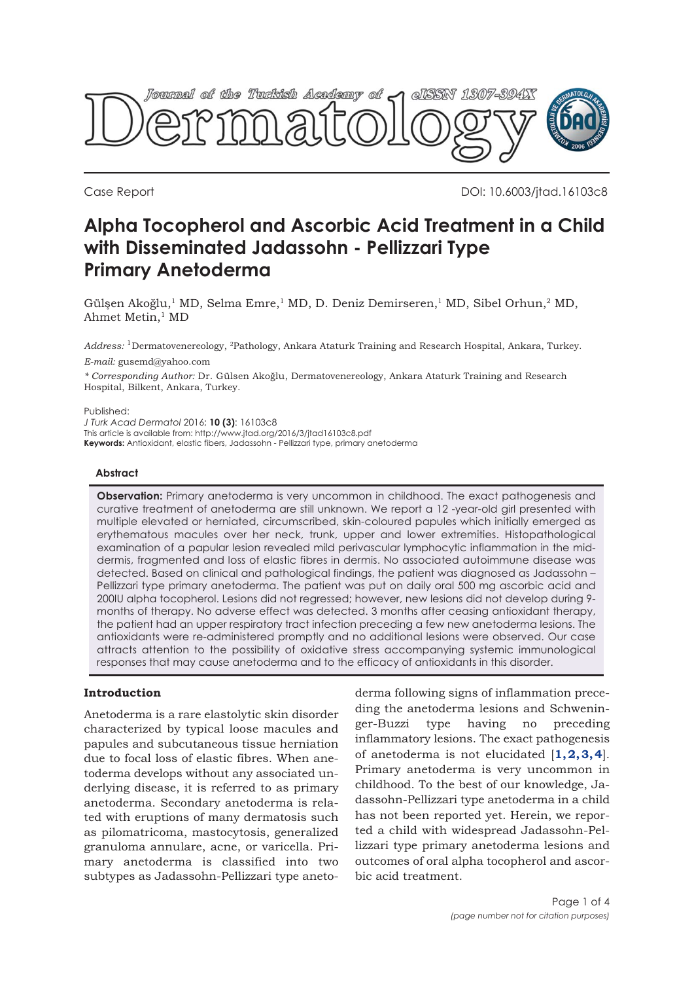

Case Report DOI: 10.6003/jtad.16103c8

# **Alpha Tocopherol and Ascorbic Acid Treatment in a Child with Disseminated Jadassohn - Pellizzari Type Primary Anetoderma**

Gülşen Akoğlu,1 MD, Selma Emre,1 MD, D. Deniz Demirseren,1 MD, Sibel Orhun,2 MD, Ahmet Metin,<sup>1</sup> MD

*Address:* 1Dermatovenereology, 2Pathology, Ankara Ataturk Training and Research Hospital, Ankara, Turkey.

*E-mail:* gusemd@yahoo.com

*\* Corresponding Author:* Dr. Gülsen Akoğlu, Dermatovenereology, Ankara Ataturk Training and Research Hospital, Bilkent, Ankara, Turkey.

Published:

*J Turk Acad Dermatol* 2016; **10 (3)**: 16103c8

This article is available from: http://www.jtad.org/2016/3/jtad16103c8.pdf

**Keywords:** Antioxidant, elastic fibers, Jadassohn - Pellizzari type, primary anetoderma

#### **Abstract**

**Observation:** Primary anetoderma is very uncommon in childhood. The exact pathogenesis and curative treatment of anetoderma are still unknown. We report a 12 -year-old girl presented with multiple elevated or herniated, circumscribed, skin-coloured papules which initially emerged as erythematous macules over her neck, trunk, upper and lower extremities. Histopathological examination of a papular lesion revealed mild perivascular lymphocytic inflammation in the middermis, fragmented and loss of elastic fibres in dermis. No associated autoimmune disease was detected. Based on clinical and pathological findings, the patient was diagnosed as Jadassohn – Pellizzari type primary anetoderma. The patient was put on daily oral 500 mg ascorbic acid and 200IU alpha tocopherol. Lesions did not regressed; however, new lesions did not develop during 9 months of therapy. No adverse effect was detected. 3 months after ceasing antioxidant therapy, the patient had an upper respiratory tract infection preceding a few new anetoderma lesions. The antioxidants were re-administered promptly and no additional lesions were observed. Our case attracts attention to the possibility of oxidative stress accompanying systemic immunological responses that may cause anetoderma and to the efficacy of antioxidants in this disorder.

# **Introduction**

Anetoderma is a rare elastolytic skin disorder characterized by typical loose macules and papules and subcutaneous tissue herniation due to focal loss of elastic fibres. When anetoderma develops without any associated underlying disease, it is referred to as primary anetoderma. Secondary anetoderma is related with eruptions of many dermatosis such as pilomatricoma, mastocytosis, generalized granuloma annulare, acne, or varicella. Primary anetoderma is classified into two subtypes as Jadassohn-Pellizzari type aneto-

derma following signs of inflammation preceding the anetoderma lesions and Schweninger-Buzzi type having no preceding inflammatory lesions. The exact pathogenesis of anetoderma is not elucidated [**[1,](#page-2-0) [2, 3, 4](#page-3-0)**]. Primary anetoderma is very uncommon in childhood. To the best of our knowledge, Jadassohn-Pellizzari type anetoderma in a child has not been reported yet. Herein, we reported a child with widespread Jadassohn-Pellizzari type primary anetoderma lesions and outcomes of oral alpha tocopherol and ascorbic acid treatment.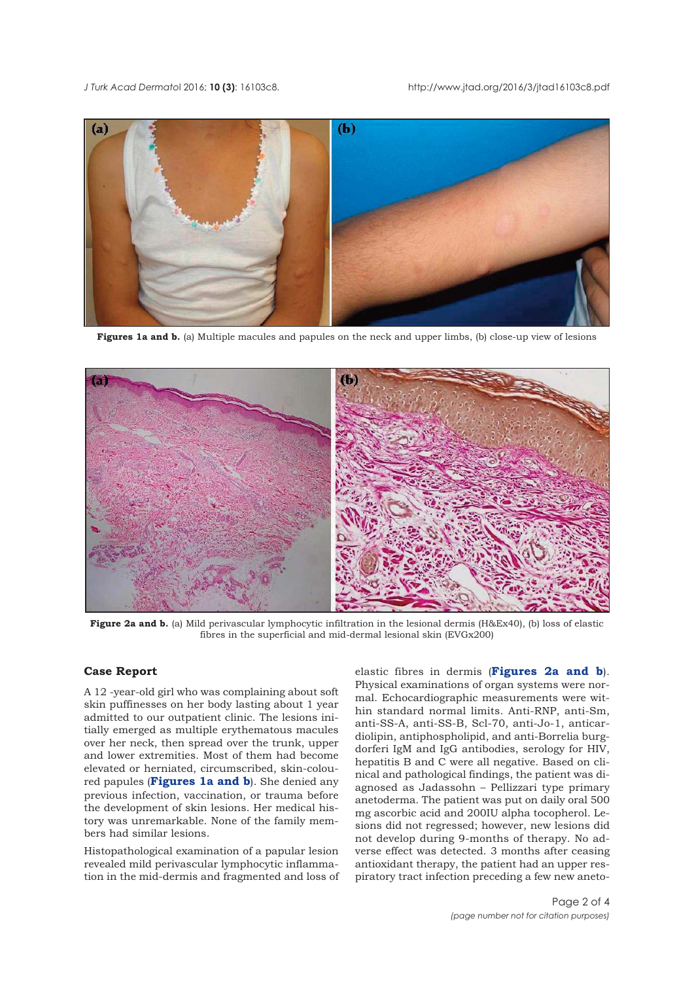#### *J Turk Acad Dermato*l 2016; **10 (3)**: 16103c8. http://www.jtad.org/2016/3/jtad16103c8.pdf



**Figures 1a and b.** (a) Multiple macules and papules on the neck and upper limbs, (b) close-up view of lesions



**Figure 2a and b.** (a) Mild perivascular lymphocytic infiltration in the lesional dermis (H&Ex40), (b) loss of elastic fibres in the superficial and mid-dermal lesional skin (EVGx200)

# **Case Report**

A 12 -year-old girl who was complaining about soft skin puffinesses on her body lasting about 1 year admitted to our outpatient clinic. The lesions initially emerged as multiple erythematous macules over her neck, then spread over the trunk, upper and lower extremities. Most of them had become elevated or herniated, circumscribed, skin-coloured papules (**Figures 1a and b**). She denied any previous infection, vaccination, or trauma before the development of skin lesions. Her medical history was unremarkable. None of the family members had similar lesions.

Histopathological examination of a papular lesion revealed mild perivascular lymphocytic inflammation in the mid-dermis and fragmented and loss of elastic fibres in dermis (**Figures 2a and b**). Physical examinations of organ systems were normal. Echocardiographic measurements were within standard normal limits. Anti-RNP, anti-Sm, anti-SS-A, anti-SS-B, Scl-70, anti-Jo-1, anticardiolipin, antiphospholipid, and anti-Borrelia burgdorferi IgM and IgG antibodies, serology for HIV, hepatitis B and C were all negative. Based on clinical and pathological findings, the patient was diagnosed as Jadassohn – Pellizzari type primary anetoderma. The patient was put on daily oral 500 mg ascorbic acid and 200IU alpha tocopherol. Lesions did not regressed; however, new lesions did not develop during 9-months of therapy. No adverse effect was detected. 3 months after ceasing antioxidant therapy, the patient had an upper respiratory tract infection preceding a few new aneto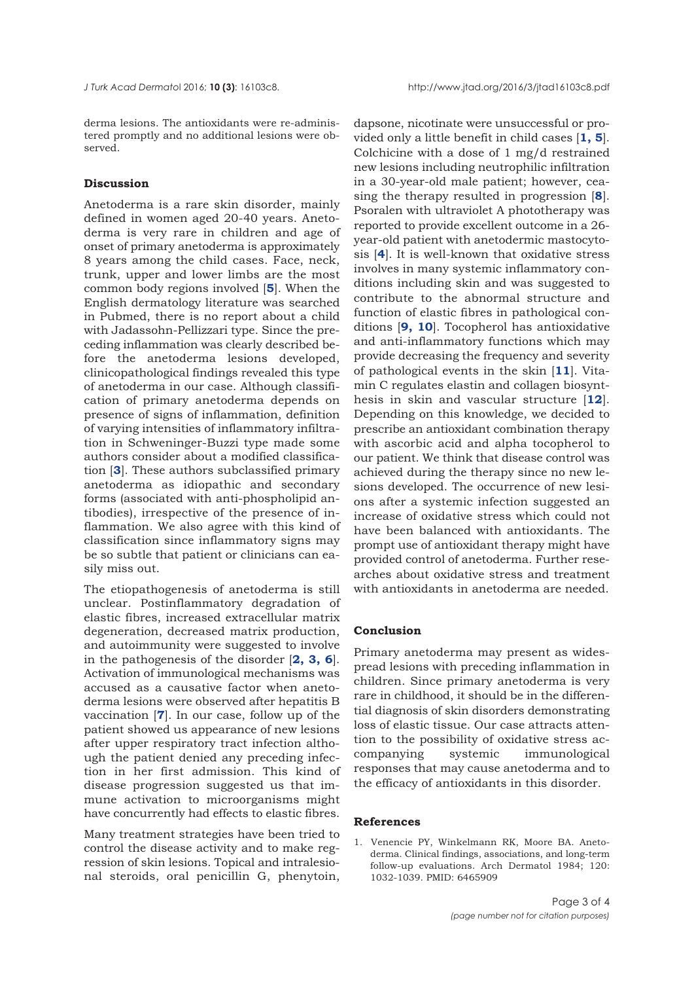<span id="page-2-0"></span>derma lesions. The antioxidants were re-administered promptly and no additional lesions were observed.

### **Discussion**

Anetoderma is a rare skin disorder, mainly defined in women aged 20-40 years. Anetoderma is very rare in children and age of onset of primary anetoderma is approximately 8 years among the child cases. Face, neck, trunk, upper and lower limbs are the most common body regions involved [**[5](#page-3-0)**]. When the English dermatology literature was searched in Pubmed, there is no report about a child with Jadassohn-Pellizzari type. Since the preceding inflammation was clearly described before the anetoderma lesions developed, clinicopathological findings revealed this type of anetoderma in our case. Although classification of primary anetoderma depends on presence of signs of inflammation, definition of varying intensities of inflammatory infiltration in Schweninger-Buzzi type made some authors consider about a modified classification [**[3](#page-3-0)**]. These authors subclassified primary anetoderma as idiopathic and secondary forms (associated with anti-phospholipid antibodies), irrespective of the presence of inflammation. We also agree with this kind of classification since inflammatory signs may be so subtle that patient or clinicians can easily miss out.

The etiopathogenesis of anetoderma is still unclear. Postinflammatory degradation of elastic fibres, increased extracellular matrix degeneration, decreased matrix production, and autoimmunity were suggested to involve in the pathogenesis of the disorder [**[2, 3, 6](#page-3-0)**]. Activation of immunological mechanisms was accused as a causative factor when anetoderma lesions were observed after hepatitis B vaccination [**[7](#page-3-0)**]. In our case, follow up of the patient showed us appearance of new lesions after upper respiratory tract infection although the patient denied any preceding infection in her first admission. This kind of disease progression suggested us that immune activation to microorganisms might have concurrently had effects to elastic fibres.

Many treatment strategies have been tried to control the disease activity and to make regression of skin lesions. Topical and intralesional steroids, oral penicillin G, phenytoin,

dapsone, nicotinate were unsuccessful or provided only a little benefit in child cases [**[1, 5](#page-3-0)**]. Colchicine with a dose of 1 mg/d restrained new lesions including neutrophilic infiltration in a 30-year-old male patient; however, ceasing the therapy resulted in progression [**[8](#page-3-0)**]. Psoralen with ultraviolet A phototherapy was reported to provide excellent outcome in a 26 year-old patient with anetodermic mastocytosis [**[4](#page-3-0)**]. It is well-known that oxidative stress involves in many systemic inflammatory conditions including skin and was suggested to contribute to the abnormal structure and function of elastic fibres in pathological conditions [**[9, 10](#page-3-0)**]. Tocopherol has antioxidative and anti-inflammatory functions which may provide decreasing the frequency and severity of pathological events in the skin [**[11](#page-3-0)**]. Vitamin C regulates elastin and collagen biosynthesis in skin and vascular structure [**[12](#page-3-0)**]. Depending on this knowledge, we decided to prescribe an antioxidant combination therapy with ascorbic acid and alpha tocopherol to our patient. We think that disease control was achieved during the therapy since no new lesions developed. The occurrence of new lesions after a systemic infection suggested an increase of oxidative stress which could not have been balanced with antioxidants. The prompt use of antioxidant therapy might have provided control of anetoderma. Further researches about oxidative stress and treatment with antioxidants in anetoderma are needed.

#### **Conclusion**

Primary anetoderma may present as widespread lesions with preceding inflammation in children. Since primary anetoderma is very rare in childhood, it should be in the differential diagnosis of skin disorders demonstrating loss of elastic tissue. Our case attracts attention to the possibility of oxidative stress accompanying systemic immunological responses that may cause anetoderma and to the efficacy of antioxidants in this disorder.

## **References**

1. Venencie PY, Winkelmann RK, Moore BA. Anetoderma. Clinical findings, associations, and long-term follow-up evaluations. Arch Dermatol 1984; 120: 1032-1039. PMID: 6465909